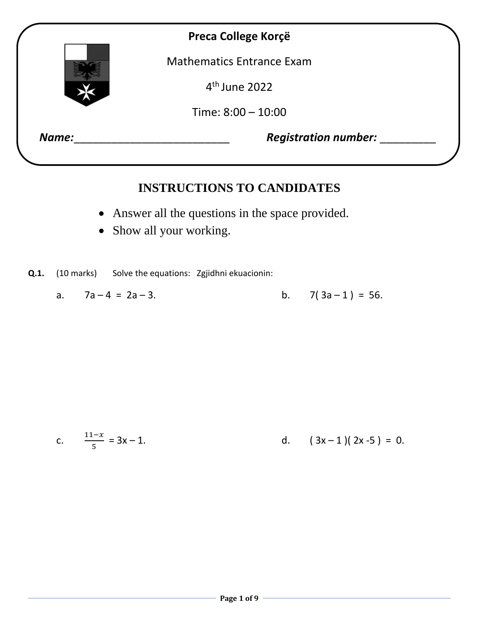

## **INSTRUCTIONS TO CANDIDATES**

- Answer all the questions in the space provided.
- Show all your working.

**Q.1.** (10 marks) Solve the equations: Zgjidhni ekuacionin:

a.  $7a-4 = 2a-3$ . b.  $7(3a-1) = 56$ .

c. 
$$
\frac{11-x}{5} = 3x - 1.
$$
 d.  $(3x-1)(2x-5) = 0.$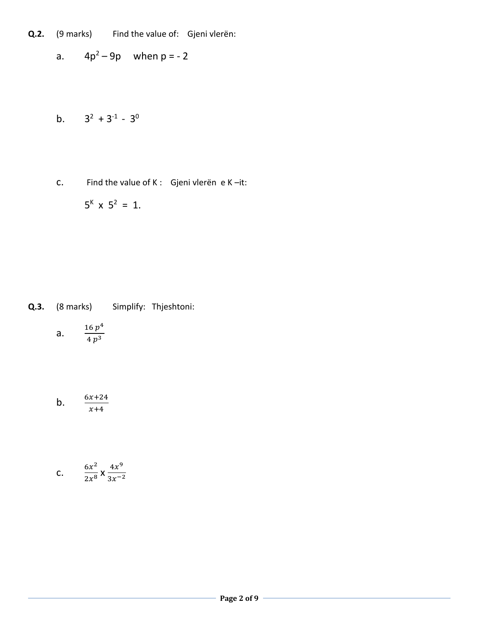- **Q.2.** (9 marks) Find the value of: Gjeni vlerën:
	- a.  $4p^2 9p$  when  $p = -2$
	- b.  $3^2 + 3^{-1} 3^0$
	- c. Find the value of K : Gjeni vlerën e K –it:  $5^{k}$  x  $5^{2}$  = 1.

- **Q.3.** (8 marks) Simplify: Thjeshtoni:
	- a.  $\frac{16 p^4}{4 p^3}$  $4 p<sup>3</sup>$
	- $b.$  $x+4$

C. 
$$
\frac{6x^2}{2x^8} \times \frac{4x^9}{3x^{-2}}
$$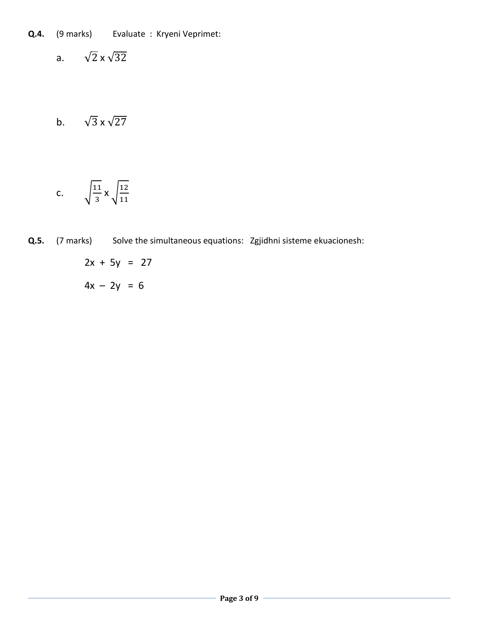- **Q.4.** (9 marks) Evaluate : Kryeni Veprimet:
	- a.  $\sqrt{2} \times \sqrt{32}$
	- b.  $\sqrt{3} \times \sqrt{27}$

$$
c. \qquad \sqrt{\frac{11}{3}} \times \sqrt{\frac{12}{11}}
$$

- **Q.5.** (7 marks) Solve the simultaneous equations: Zgjidhni sisteme ekuacionesh:
	- $2x + 5y = 27$  $4x - 2y = 6$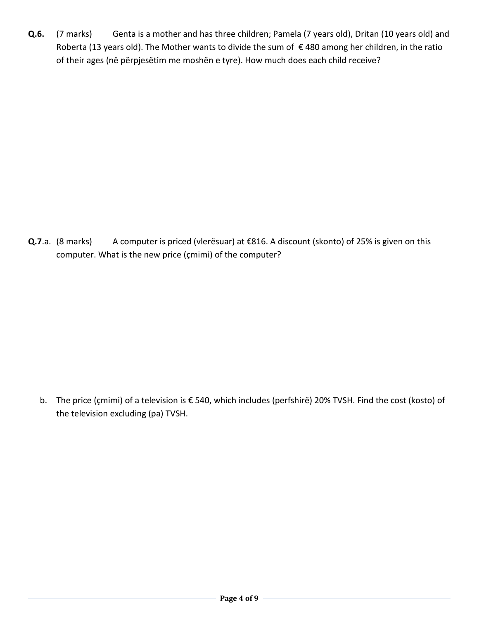Q.6. (7 marks) Genta is a mother and has three children; Pamela (7 years old), Dritan (10 years old) and Roberta (13 years old). The Mother wants to divide the sum of €480 among her children, in the ratio of their ages (në përpjesëtim me moshën e tyre). How much does each child receive?

**Q.7**.a. (8 marks) A computer is priced (vlerësuar) at €816. A discount (skonto) of 25% is given on this computer. What is the new price (çmimi) of the computer?

 b. The price (çmimi) of a television is € 540, which includes (perfshirë) 20% TVSH. Find the cost (kosto) of the television excluding (pa) TVSH.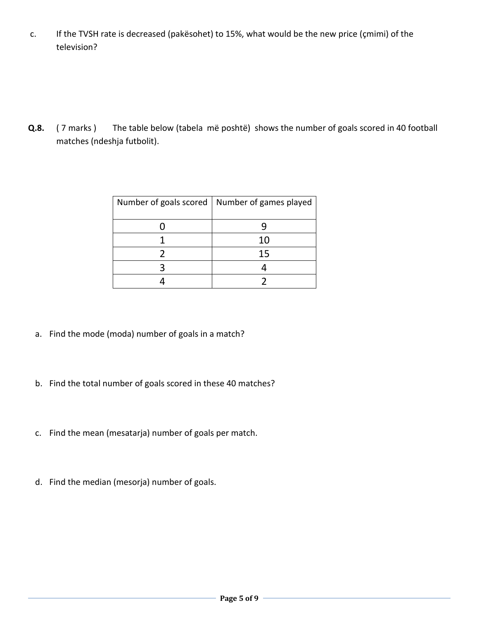c. If the TVSH rate is decreased (pakësohet) to 15%, what would be the new price (çmimi) of the television?

**Q.8.** ( 7 marks ) The table below (tabela më poshtë) shows the number of goals scored in 40 football matches (ndeshja futbolit).

| Number of goals scored   Number of games played |
|-------------------------------------------------|
|                                                 |
| 10                                              |
| 15                                              |
|                                                 |
|                                                 |

- a. Find the mode (moda) number of goals in a match?
- b. Find the total number of goals scored in these 40 matches?
- c. Find the mean (mesatarja) number of goals per match.
- d. Find the median (mesorja) number of goals.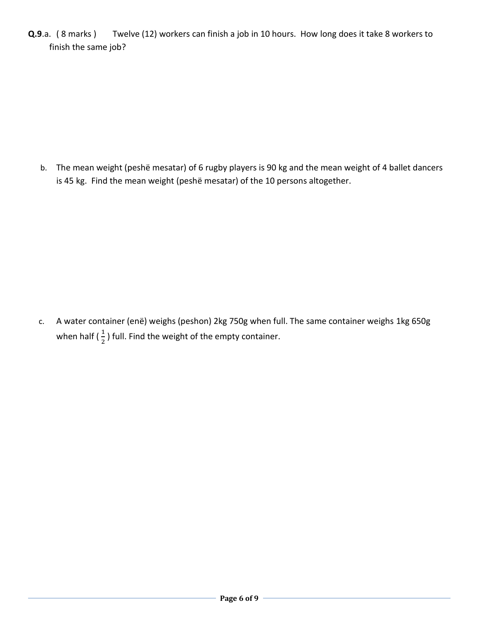**Q.9**.a. ( 8 marks ) Twelve (12) workers can finish a job in 10 hours. How long does it take 8 workers to finish the same job?

b. The mean weight (peshë mesatar) of 6 rugby players is 90 kg and the mean weight of 4 ballet dancers is 45 kg. Find the mean weight (peshë mesatar) of the 10 persons altogether.

c. A water container (enë) weighs (peshon) 2kg 750g when full. The same container weighs 1kg 650g when half ( $\frac{1}{2}$ ) full. Find the weight of the empty container.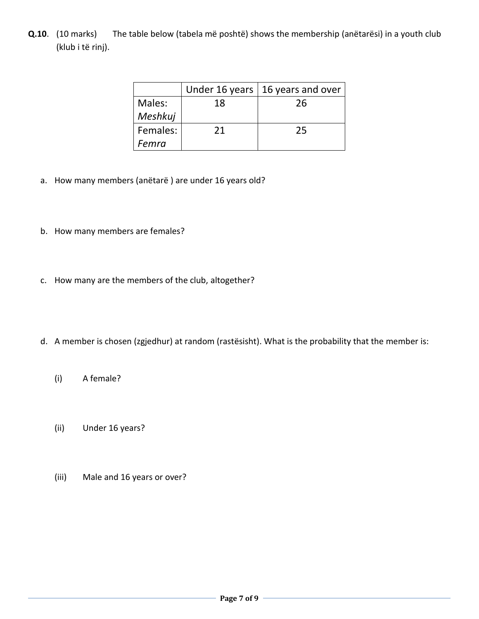**Q.10**. (10 marks) The table below (tabela më poshtë) shows the membership (anëtarësi) in a youth club (klub i të rinj).

|          |    | Under 16 years   16 years and over |
|----------|----|------------------------------------|
| Males:   | 18 | 26                                 |
| Meshkuj  |    |                                    |
| Females: | 21 | 25                                 |
| Femra    |    |                                    |

- a. How many members (anëtarë ) are under 16 years old?
- b. How many members are females?
- c. How many are the members of the club, altogether?
- d. A member is chosen (zgjedhur) at random (rastësisht). What is the probability that the member is:
	- (i) A female?
	- (ii) Under 16 years?
	- (iii) Male and 16 years or over?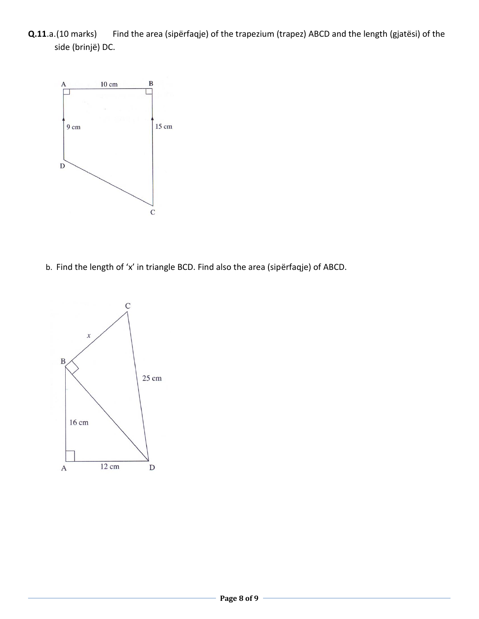**Q.11**.a.(10 marks) Find the area (sipërfaqje) of the trapezium (trapez) ABCD and the length (gjatësi) of the side (brinjë) DC.



b. Find the length of 'x' in triangle BCD. Find also the area (sipërfaqje) of ABCD.